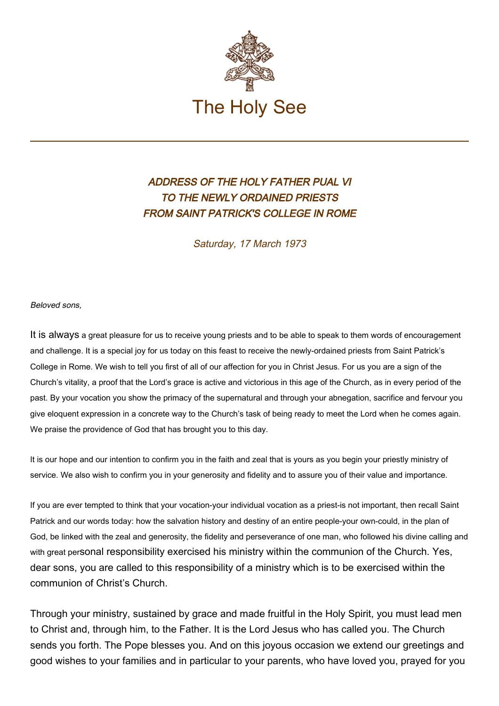

## ADDRESS OF THE HOLY FATHER PUAL VI TO THE NEWLY ORDAINED PRIESTS FROM SAINT PATRICK'S COLLEGE IN ROME

Saturday, 17 March 1973

Beloved sons,

It is always a great pleasure for us to receive young priests and to be able to speak to them words of encouragement and challenge. It is a special joy for us today on this feast to receive the newly-ordained priests from Saint Patrick's College in Rome. We wish to tell you first of all of our affection for you in Christ Jesus. For us you are a sign of the Church's vitality, a proof that the Lord's grace is active and victorious in this age of the Church, as in every period of the past. By your vocation you show the primacy of the supernatural and through your abnegation, sacrifice and fervour you give eloquent expression in a concrete way to the Church's task of being ready to meet the Lord when he comes again. We praise the providence of God that has brought you to this day.

It is our hope and our intention to confirm you in the faith and zeal that is yours as you begin your priestly ministry of service. We also wish to confirm you in your generosity and fidelity and to assure you of their value and importance.

If you are ever tempted to think that your vocation-your individual vocation as a priest-is not important, then recall Saint Patrick and our words today: how the salvation history and destiny of an entire people-your own-could, in the plan of God, be linked with the zeal and generosity, the fidelity and perseverance of one man, who followed his divine calling and with great personal responsibility exercised his ministry within the communion of the Church. Yes, dear sons, you are called to this responsibility of a ministry which is to be exercised within the communion of Christ's Church.

Through your ministry, sustained by grace and made fruitful in the Holy Spirit, you must lead men to Christ and, through him, to the Father. It is the Lord Jesus who has called you. The Church sends you forth. The Pope blesses you. And on this joyous occasion we extend our greetings and good wishes to your families and in particular to your parents, who have loved you, prayed for you